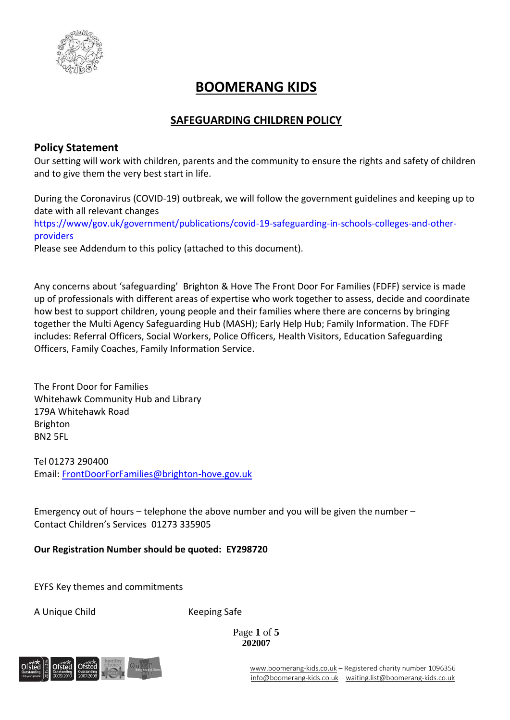

# **BOOMERANG KIDS**

## **SAFEGUARDING CHILDREN POLICY**

## **Policy Statement**

Our setting will work with children, parents and the community to ensure the rights and safety of children and to give them the very best start in life.

During the Coronavirus (COVID-19) outbreak, we will follow the government guidelines and keeping up to date with all relevant changes

[https://www/gov.uk/government/publications/covid-19-safeguarding-in-schools-colleges-and-other](https://www/gov.uk/government/publications/covid-19-safeguarding-in-schools-colleges-and-other-providers)[providers](https://www/gov.uk/government/publications/covid-19-safeguarding-in-schools-colleges-and-other-providers)

Please see Addendum to this policy (attached to this document).

Any concerns about 'safeguarding' Brighton & Hove The Front Door For Families (FDFF) service is made up of professionals with different areas of expertise who work together to assess, decide and coordinate how best to support children, young people and their families where there are concerns by bringing together the Multi Agency Safeguarding Hub (MASH); Early Help Hub; Family Information. The FDFF includes: Referral Officers, Social Workers, Police Officers, Health Visitors, Education Safeguarding Officers, Family Coaches, Family Information Service.

The Front Door for Families Whitehawk Community Hub and Library 179A Whitehawk Road Brighton BN2 5FL

Tel 01273 290400 Email: [FrontDoorForFamilies@brighton-hove.gov.uk](mailto:FrontDoorForFamilies@brighton-hove.gov.uk)

Emergency out of hours – telephone the above number and you will be given the number – Contact Children's Services 01273 335905

**Our Registration Number should be quoted: EY298720**

EYFS Key themes and commitments

A Unique Child Keeping Safe

Page **1** of **5 202007**

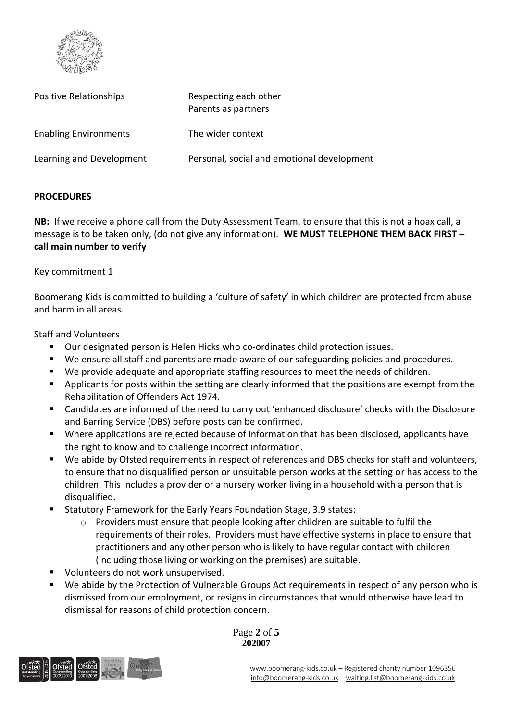

| Positive Relationships       | Respecting each other<br>Parents as partners |  |
|------------------------------|----------------------------------------------|--|
| <b>Enabling Environments</b> | The wider context                            |  |
| Learning and Development     | Personal, social and emotional development   |  |

#### **PROCEDURES**

**NB:** If we receive a phone call from the Duty Assessment Team, to ensure that this is not a hoax call, a message is to be taken only, (do not give any information). **WE MUST TELEPHONE THEM BACK FIRST – call main number to verify**

Key commitment 1

Boomerang Kids is committed to building a 'culture of safety' in which children are protected from abuse and harm in all areas.

Staff and Volunteers

- Our designated person is Helen Hicks who co-ordinates child protection issues.
- We ensure all staff and parents are made aware of our safeguarding policies and procedures.
- We provide adequate and appropriate staffing resources to meet the needs of children.
- Applicants for posts within the setting are clearly informed that the positions are exempt from the Rehabilitation of Offenders Act 1974.
- Candidates are informed of the need to carry out 'enhanced disclosure' checks with the Disclosure and Barring Service (DBS) before posts can be confirmed.
- Where applications are rejected because of information that has been disclosed, applicants have the right to know and to challenge incorrect information.
- We abide by Ofsted requirements in respect of references and DBS checks for staff and volunteers, to ensure that no disqualified person or unsuitable person works at the setting or has access to the children. This includes a provider or a nursery worker living in a household with a person that is disqualified.
- Statutory Framework for the Early Years Foundation Stage, 3.9 states:
	- $\circ$  Providers must ensure that people looking after children are suitable to fulfil the requirements of their roles. Providers must have effective systems in place to ensure that practitioners and any other person who is likely to have regular contact with children (including those living or working on the premises) are suitable.
- Volunteers do not work unsupervised.
- We abide by the Protection of Vulnerable Groups Act requirements in respect of any person who is dismissed from our employment, or resigns in circumstances that would otherwise have lead to dismissal for reasons of child protection concern.



Page **2** of **5 202007**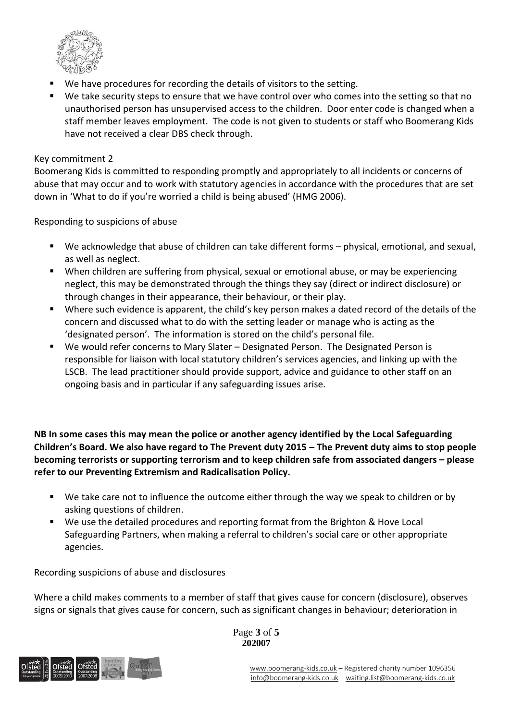

- We have procedures for recording the details of visitors to the setting.
- We take security steps to ensure that we have control over who comes into the setting so that no unauthorised person has unsupervised access to the children. Door enter code is changed when a staff member leaves employment. The code is not given to students or staff who Boomerang Kids have not received a clear DBS check through.

#### Key commitment 2

Boomerang Kids is committed to responding promptly and appropriately to all incidents or concerns of abuse that may occur and to work with statutory agencies in accordance with the procedures that are set down in 'What to do if you're worried a child is being abused' (HMG 2006).

Responding to suspicions of abuse

- We acknowledge that abuse of children can take different forms physical, emotional, and sexual, as well as neglect.
- When children are suffering from physical, sexual or emotional abuse, or may be experiencing neglect, this may be demonstrated through the things they say (direct or indirect disclosure) or through changes in their appearance, their behaviour, or their play.
- Where such evidence is apparent, the child's key person makes a dated record of the details of the concern and discussed what to do with the setting leader or manage who is acting as the 'designated person'. The information is stored on the child's personal file.
- We would refer concerns to Mary Slater Designated Person. The Designated Person is responsible for liaison with local statutory children's services agencies, and linking up with the LSCB. The lead practitioner should provide support, advice and guidance to other staff on an ongoing basis and in particular if any safeguarding issues arise.

**NB In some cases this may mean the police or another agency identified by the Local Safeguarding Children's Board. We also have regard to The Prevent duty 2015 – The Prevent duty aims to stop people becoming terrorists or supporting terrorism and to keep children safe from associated dangers – please refer to our Preventing Extremism and Radicalisation Policy.**

- We take care not to influence the outcome either through the way we speak to children or by asking questions of children.
- We use the detailed procedures and reporting format from the Brighton & Hove Local Safeguarding Partners, when making a referral to children's social care or other appropriate agencies.

Recording suspicions of abuse and disclosures

Where a child makes comments to a member of staff that gives cause for concern (disclosure), observes signs or signals that gives cause for concern, such as significant changes in behaviour; deterioration in



Page **3** of **5 202007**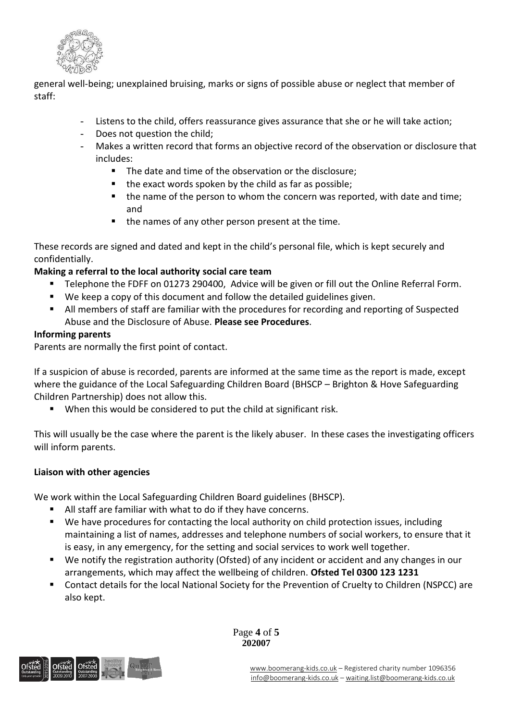

general well-being; unexplained bruising, marks or signs of possible abuse or neglect that member of staff:

- Listens to the child, offers reassurance gives assurance that she or he will take action;
- Does not question the child;
- Makes a written record that forms an objective record of the observation or disclosure that includes:
	- The date and time of the observation or the disclosure;
	- the exact words spoken by the child as far as possible;
	- the name of the person to whom the concern was reported, with date and time; and
	- the names of any other person present at the time.

These records are signed and dated and kept in the child's personal file, which is kept securely and confidentially.

## **Making a referral to the local authority social care team**

- Telephone the FDFF on 01273 290400, Advice will be given or fill out the Online Referral Form.
- We keep a copy of this document and follow the detailed guidelines given.
- **E** All members of staff are familiar with the procedures for recording and reporting of Suspected Abuse and the Disclosure of Abuse. **Please see Procedures**.

### **Informing parents**

Parents are normally the first point of contact.

If a suspicion of abuse is recorded, parents are informed at the same time as the report is made, except where the guidance of the Local Safeguarding Children Board (BHSCP – Brighton & Hove Safeguarding Children Partnership) does not allow this.

When this would be considered to put the child at significant risk.

This will usually be the case where the parent is the likely abuser. In these cases the investigating officers will inform parents.

### **Liaison with other agencies**

We work within the Local Safeguarding Children Board guidelines (BHSCP).

- All staff are familiar with what to do if they have concerns.
- We have procedures for contacting the local authority on child protection issues, including maintaining a list of names, addresses and telephone numbers of social workers, to ensure that it is easy, in any emergency, for the setting and social services to work well together.
- We notify the registration authority (Ofsted) of any incident or accident and any changes in our arrangements, which may affect the wellbeing of children. **Ofsted Tel 0300 123 1231**
- Contact details for the local National Society for the Prevention of Cruelty to Children (NSPCC) are also kept.



Page **4** of **5 202007**